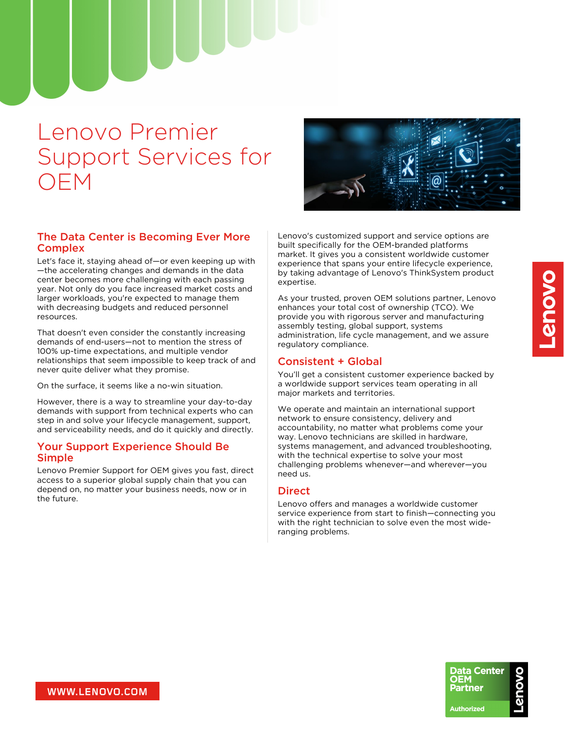# Lenovo Premier Support Services for OEM

## The Data Center is Becoming Ever More **Complex**

Let's face it, staying ahead of—or even keeping up with —the accelerating changes and demands in the data center becomes more challenging with each passing year. Not only do you face increased market costs and larger workloads, you're expected to manage them with decreasing budgets and reduced personnel resources.

That doesn't even consider the constantly increasing demands of end-users—not to mention the stress of 100% up-time expectations, and multiple vendor relationships that seem impossible to keep track of and never quite deliver what they promise.

On the surface, it seems like a no-win situation.

However, there is a way to streamline your day-to-day demands with support from technical experts who can step in and solve your lifecycle management, support, and serviceability needs, and do it quickly and directly.

#### Your Support Experience Should Be Simple

Lenovo Premier Support for OEM gives you fast, direct access to a superior global supply chain that you can depend on, no matter your business needs, now or in the future.



Lenovo's customized support and service options are built specifically for the OEM-branded platforms market. It gives you a consistent worldwide customer experience that spans your entire lifecycle experience, by taking advantage of Lenovo's ThinkSystem product expertise.

As your trusted, proven OEM solutions partner, Lenovo enhances your total cost of ownership (TCO). We provide you with rigorous server and manufacturing assembly testing, global support, systems administration, life cycle management, and we assure regulatory compliance.

#### Consistent + Global

You'll get a consistent customer experience backed by a worldwide support services team operating in all major markets and territories.

We operate and maintain an international support network to ensure consistency, delivery and accountability, no matter what problems come your way. Lenovo technicians are skilled in hardware, systems management, and advanced troubleshooting, with the technical expertise to solve your most challenging problems whenever—and wherever—you need us.

#### **Direct**

Lenovo offers and manages a worldwide customer service experience from start to finish—connecting you with the right technician to solve even the most wideranging problems.